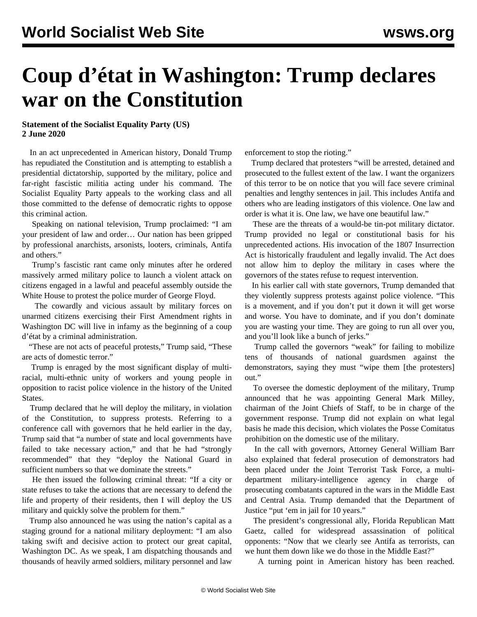## **Coup d'état in Washington: Trump declares war on the Constitution**

## **Statement of the Socialist Equality Party (US) 2 June 2020**

 In an act unprecedented in American history, Donald Trump has repudiated the Constitution and is attempting to establish a presidential dictatorship, supported by the military, police and far-right fascistic militia acting under his command. The Socialist Equality Party appeals to the working class and all those committed to the defense of democratic rights to oppose this criminal action.

 Speaking on national television, Trump proclaimed: "I am your president of law and order… Our nation has been gripped by professional anarchists, arsonists, looters, criminals, Antifa and others."

 Trump's fascistic rant came only minutes after he ordered massively armed military police to launch a violent attack on citizens engaged in a lawful and peaceful assembly outside the White House to protest the police murder of George Floyd.

 The cowardly and vicious assault by military forces on unarmed citizens exercising their First Amendment rights in Washington DC will live in infamy as the beginning of a coup d'état by a criminal administration.

 "These are not acts of peaceful protests," Trump said, "These are acts of domestic terror."

 Trump is enraged by the most significant display of multiracial, multi-ethnic unity of workers and young people in opposition to racist police violence in the history of the United States.

 Trump declared that he will deploy the military, in violation of the Constitution, to suppress protests. Referring to a conference call with governors that he held earlier in the day, Trump said that "a number of state and local governments have failed to take necessary action," and that he had "strongly recommended" that they "deploy the National Guard in sufficient numbers so that we dominate the streets."

 He then issued the following criminal threat: "If a city or state refuses to take the actions that are necessary to defend the life and property of their residents, then I will deploy the US military and quickly solve the problem for them."

 Trump also announced he was using the nation's capital as a staging ground for a national military deployment: "I am also taking swift and decisive action to protect our great capital, Washington DC. As we speak, I am dispatching thousands and thousands of heavily armed soldiers, military personnel and law

enforcement to stop the rioting."

 Trump declared that protesters "will be arrested, detained and prosecuted to the fullest extent of the law. I want the organizers of this terror to be on notice that you will face severe criminal penalties and lengthy sentences in jail. This includes Antifa and others who are leading instigators of this violence. One law and order is what it is. One law, we have one beautiful law."

 These are the threats of a would-be tin-pot military dictator. Trump provided no legal or constitutional basis for his unprecedented actions. His invocation of the 1807 Insurrection Act is historically fraudulent and legally invalid. The Act does not allow him to deploy the military in cases where the governors of the states refuse to request intervention.

 In his earlier call with state governors, Trump demanded that they violently suppress protests against police violence. "This is a movement, and if you don't put it down it will get worse and worse. You have to dominate, and if you don't dominate you are wasting your time. They are going to run all over you, and you'll look like a bunch of jerks."

 Trump called the governors "weak" for failing to mobilize tens of thousands of national guardsmen against the demonstrators, saying they must "wipe them [the protesters] out."

 To oversee the domestic deployment of the military, Trump announced that he was appointing General Mark Milley, chairman of the Joint Chiefs of Staff, to be in charge of the government response. Trump did not explain on what legal basis he made this decision, which violates the Posse Comitatus prohibition on the domestic use of the military.

 In the call with governors, Attorney General William Barr also explained that federal prosecution of demonstrators had been placed under the Joint Terrorist Task Force, a multidepartment military-intelligence agency in charge of prosecuting combatants captured in the wars in the Middle East and Central Asia. Trump demanded that the Department of Justice "put 'em in jail for 10 years."

 The president's congressional ally, Florida Republican Matt Gaetz, called for widespread assassination of political opponents: "Now that we clearly see Antifa as terrorists, can we hunt them down like we do those in the Middle East?"

A turning point in American history has been reached.